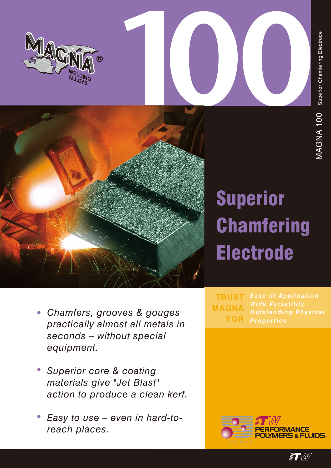

# **Superior Chamfering Electrode**

- Chamfers, grooves & gouges practically almost all metals in seconds - without special equipment.
- Superior core & coating  $\bullet$ materials give "Jet Blast" action to produce a clean kerf.
- Easy to use even in hard-toreach places.

**Ease of Application TRUST Wide Versatility MAGNA FOR** 



 $\blacksquare$  to the  $\blacksquare$